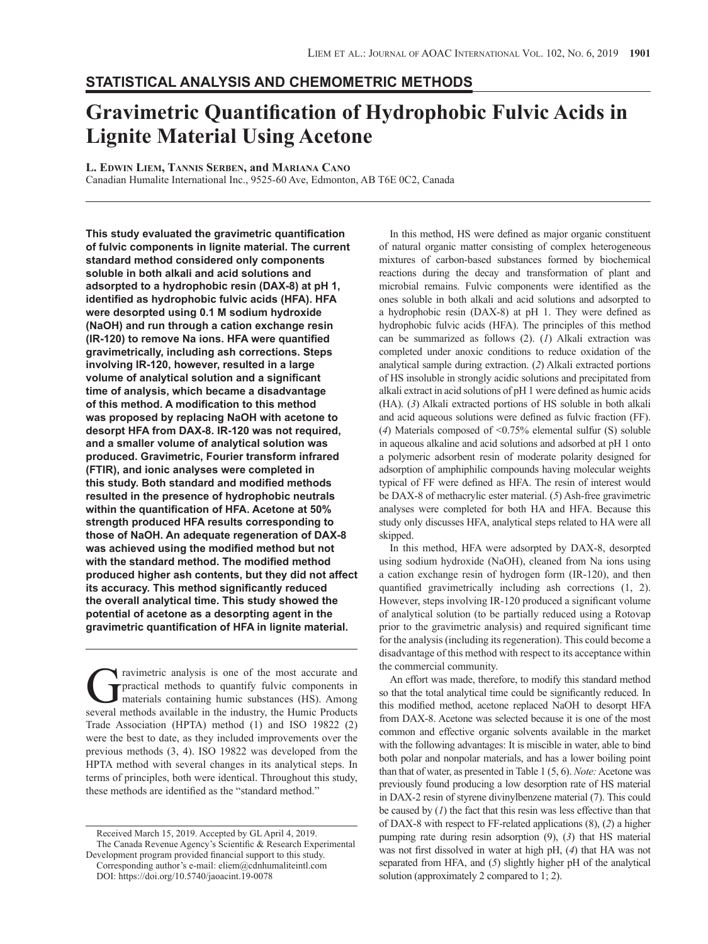# **Statistical Analysis and Chemometric Methods**

# **Gravimetric Quantification of Hydrophobic Fulvic Acids in Lignite Material Using Acetone**

**L. Edwin Liem, Tannis Serben, and Mariana Cano**

Canadian Humalite International Inc., 9525-60 Ave, Edmonton, AB T6E 0C2, Canada

**This study evaluated the gravimetric quantification of fulvic components in lignite material. The current standard method considered only components soluble in both alkali and acid solutions and adsorpted to a hydrophobic resin (DAX-8) at pH 1, identified as hydrophobic fulvic acids (HFA). HFA were desorpted using 0.1 M sodium hydroxide (NaOH) and run through a cation exchange resin (IR-120) to remove Na ions. HFA were quantified gravimetrically, including ash corrections. Steps involving IR-120, however, resulted in a large volume of analytical solution and a significant time of analysis, which became a disadvantage of this method. A modification to this method was proposed by replacing NaOH with acetone to desorpt HFA from DAX-8. IR-120 was not required, and a smaller volume of analytical solution was produced. Gravimetric, Fourier transform infrared (FTIR), and ionic analyses were completed in this study. Both standard and modified methods resulted in the presence of hydrophobic neutrals within the quantification of HFA. Acetone at 50% strength produced HFA results corresponding to those of NaOH. An adequate regeneration of DAX-8 was achieved using the modified method but not with the standard method. The modified method produced higher ash contents, but they did not affect its accuracy. This method significantly reduced the overall analytical time. This study showed the potential of acetone as a desorpting agent in the gravimetric quantification of HFA in lignite material.**

Travimetric analysis is one of the most accurate and<br>practical methods to quantify fulvic components in<br>materials containing humic substances (HS). Among<br>several methods available in the industry the Humic Products practical methods to quantify fulvic components in materials containing humic substances (HS). Among several methods available in the industry, the Humic Products Trade Association (HPTA) method (1) and ISO 19822 (2) were the best to date, as they included improvements over the previous methods (3, 4). ISO 19822 was developed from the HPTA method with several changes in its analytical steps. In terms of principles, both were identical. Throughout this study, these methods are identified as the "standard method."

In this method, HS were defined as major organic constituent of natural organic matter consisting of complex heterogeneous mixtures of carbon-based substances formed by biochemical reactions during the decay and transformation of plant and microbial remains. Fulvic components were identified as the ones soluble in both alkali and acid solutions and adsorpted to a hydrophobic resin (DAX-8) at pH 1. They were defined as hydrophobic fulvic acids (HFA). The principles of this method can be summarized as follows (2). (*1*) Alkali extraction was completed under anoxic conditions to reduce oxidation of the analytical sample during extraction. (*2*) Alkali extracted portions of HS insoluble in strongly acidic solutions and precipitated from alkali extract in acid solutions of pH 1 were defined as humic acids (HA). (*3*) Alkali extracted portions of HS soluble in both alkali and acid aqueous solutions were defined as fulvic fraction (FF). (*4*) Materials composed of <0.75% elemental sulfur (S) soluble in aqueous alkaline and acid solutions and adsorbed at pH 1 onto a polymeric adsorbent resin of moderate polarity designed for adsorption of amphiphilic compounds having molecular weights typical of FF were defined as HFA. The resin of interest would be DAX-8 of methacrylic ester material. (*5*) Ash-free gravimetric analyses were completed for both HA and HFA. Because this study only discusses HFA, analytical steps related to HA were all skipped.

In this method, HFA were adsorpted by DAX-8, desorpted using sodium hydroxide (NaOH), cleaned from Na ions using a cation exchange resin of hydrogen form (IR-120), and then quantified gravimetrically including ash corrections (1, 2). However, steps involving IR-120 produced a significant volume of analytical solution (to be partially reduced using a Rotovap prior to the gravimetric analysis) and required significant time for the analysis (including its regeneration). This could become a disadvantage of this method with respect to its acceptance within the commercial community.

An effort was made, therefore, to modify this standard method so that the total analytical time could be significantly reduced. In this modified method, acetone replaced NaOH to desorpt HFA from DAX-8. Acetone was selected because it is one of the most common and effective organic solvents available in the market with the following advantages: It is miscible in water, able to bind both polar and nonpolar materials, and has a lower boiling point than that of water, as presented in Table 1 (5, 6). *Note:* Acetone was previously found producing a low desorption rate of HS material in DAX-2 resin of styrene divinylbenzene material (7). This could be caused by (*1*) the fact that this resin was less effective than that of DAX-8 with respect to FF-related applications (8), (*2*) a higher pumping rate during resin adsorption (9), (*3*) that HS material was not first dissolved in water at high pH, (*4*) that HA was not separated from HFA, and (*5*) slightly higher pH of the analytical solution (approximately 2 compared to 1; 2).

Received March 15, 2019. Accepted by GL April 4, 2019. The Canada Revenue Agency's Scientific & Research Experimental Development program provided financial support to this study. Corresponding author's e-mail: [eliem@cdnhumaliteintl.com](mailto:eliem@cdnhumaliteintl.com) DOI:<https://doi.org/10.5740/jaoacint.19-0078>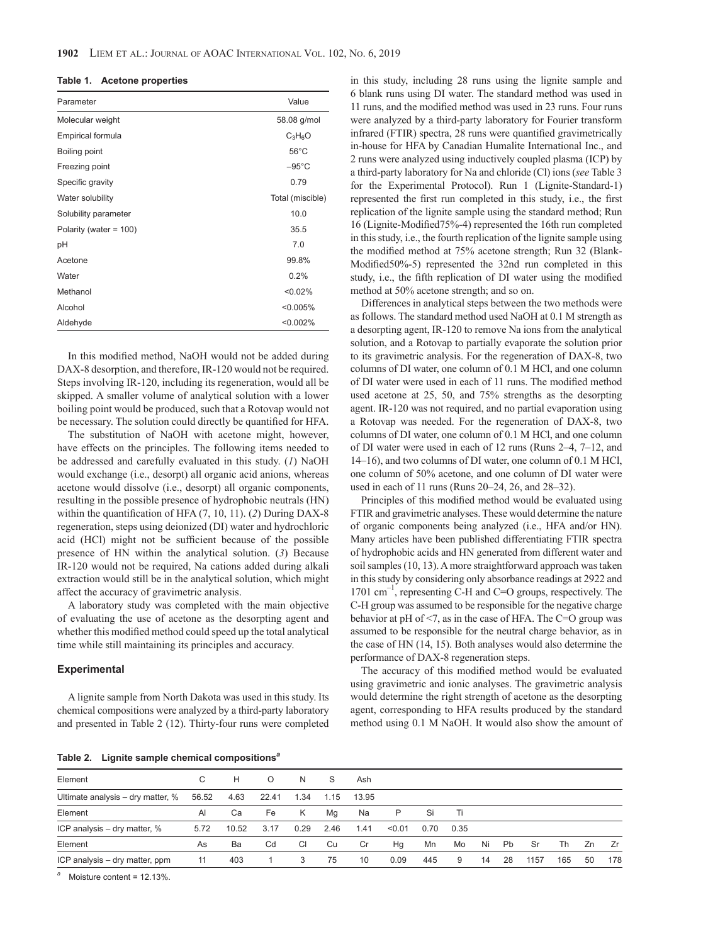|  | Table 1. |  |  | <b>Acetone properties</b> |  |  |  |
|--|----------|--|--|---------------------------|--|--|--|
|--|----------|--|--|---------------------------|--|--|--|

| Parameter              | Value            |
|------------------------|------------------|
| Molecular weight       | 58.08 g/mol      |
| Empirical formula      | $C_3H_6O$        |
| Boiling point          | $56^{\circ}$ C   |
| Freezing point         | $-95^{\circ}$ C  |
| Specific gravity       | 0.79             |
| Water solubility       | Total (miscible) |
| Solubility parameter   | 10.0             |
| Polarity (water = 100) | 35.5             |
| рH                     | 7.0              |
| Acetone                | 99.8%            |
| Water                  | 0.2%             |
| Methanol               | < 0.02%          |
| Alcohol                | < 0.005%         |
| Aldehyde               | < 0.002%         |

In this modified method, NaOH would not be added during DAX-8 desorption, and therefore, IR-120 would not be required. Steps involving IR-120, including its regeneration, would all be skipped. A smaller volume of analytical solution with a lower boiling point would be produced, such that a Rotovap would not be necessary. The solution could directly be quantified for HFA.

The substitution of NaOH with acetone might, however, have effects on the principles. The following items needed to be addressed and carefully evaluated in this study. (*1*) NaOH would exchange (i.e., desorpt) all organic acid anions, whereas acetone would dissolve (i.e., desorpt) all organic components, resulting in the possible presence of hydrophobic neutrals (HN) within the quantification of HFA (7, 10, 11). (*2*) During DAX-8 regeneration, steps using deionized (DI) water and hydrochloric acid (HCl) might not be sufficient because of the possible presence of HN within the analytical solution. (*3*) Because IR-120 would not be required, Na cations added during alkali extraction would still be in the analytical solution, which might affect the accuracy of gravimetric analysis.

A laboratory study was completed with the main objective of evaluating the use of acetone as the desorpting agent and whether this modified method could speed up the total analytical time while still maintaining its principles and accuracy.

#### **Experimental**

A lignite sample from North Dakota was used in this study. Its chemical compositions were analyzed by a third-party laboratory and presented in Table 2 (12). Thirty-four runs were completed in this study, including 28 runs using the lignite sample and 6 blank runs using DI water. The standard method was used in 11 runs, and the modified method was used in 23 runs. Four runs were analyzed by a third-party laboratory for Fourier transform infrared (FTIR) spectra, 28 runs were quantified gravimetrically in-house for HFA by Canadian Humalite International Inc., and 2 runs were analyzed using inductively coupled plasma (ICP) by a third-party laboratory for Na and chloride (Cl) ions (*see* Table 3 for the Experimental Protocol). Run 1 (Lignite-Standard-1) represented the first run completed in this study, i.e., the first replication of the lignite sample using the standard method; Run 16 (Lignite-Modified75%-4) represented the 16th run completed in this study, i.e., the fourth replication of the lignite sample using the modified method at 75% acetone strength; Run 32 (Blank-Modified50%-5) represented the 32nd run completed in this study, i.e., the fifth replication of DI water using the modified method at 50% acetone strength; and so on.

Differences in analytical steps between the two methods were as follows. The standard method used NaOH at 0.1 M strength as a desorpting agent, IR-120 to remove Na ions from the analytical solution, and a Rotovap to partially evaporate the solution prior to its gravimetric analysis. For the regeneration of DAX-8, two columns of DI water, one column of 0.1 M HCl, and one column of DI water were used in each of 11 runs. The modified method used acetone at 25, 50, and 75% strengths as the desorpting agent. IR-120 was not required, and no partial evaporation using a Rotovap was needed. For the regeneration of DAX-8, two columns of DI water, one column of 0.1 M HCl, and one column of DI water were used in each of 12 runs (Runs 2–4, 7–12, and 14–16), and two columns of DI water, one column of 0.1 M HCl, one column of 50% acetone, and one column of DI water were used in each of 11 runs (Runs 20–24, 26, and 28–32).

Principles of this modified method would be evaluated using FTIR and gravimetric analyses. These would determine the nature of organic components being analyzed (i.e., HFA and/or HN). Many articles have been published differentiating FTIR spectra of hydrophobic acids and HN generated from different water and soil samples (10, 13). A more straightforward approach was taken in this study by considering only absorbance readings at 2922 and 1701  $\text{cm}^{-1}$ , representing C-H and C=O groups, respectively. The C-H group was assumed to be responsible for the negative charge behavior at pH of <7, as in the case of HFA. The C=O group was assumed to be responsible for the neutral charge behavior, as in the case of HN (14, 15). Both analyses would also determine the performance of DAX-8 regeneration steps.

The accuracy of this modified method would be evaluated using gravimetric and ionic analyses. The gravimetric analysis would determine the right strength of acetone as the desorpting agent, corresponding to HFA results produced by the standard method using 0.1 M NaOH. It would also show the amount of

**Table 2. Lignite sample chemical compositions***<sup>a</sup>*

| $\overline{\phantom{a}}$          |              |       |          |           |      |       |        |      |      |    |           |      |     |    |     |
|-----------------------------------|--------------|-------|----------|-----------|------|-------|--------|------|------|----|-----------|------|-----|----|-----|
| Element                           | C.           | н     | $\Omega$ | N         | S    | Ash   |        |      |      |    |           |      |     |    |     |
| Ultimate analysis – dry matter, % | 56.52        | 4.63  | 22.41    | 1.34      | 1.15 | 13.95 |        |      |      |    |           |      |     |    |     |
| Element                           | $\mathsf{A}$ | Ca    | Fe       | K         | Ma   | Na    | P      | Si   | Ti   |    |           |      |     |    |     |
| ICP analysis – dry matter, %      | 5.72         | 10.52 | 3.17     | 0.29      | 2.46 | 1.41  | < 0.01 | 0.70 | 0.35 |    |           |      |     |    |     |
| Element                           | As           | Ba    | Cd       | <b>CI</b> | Cu   | Cr    | Hq     | Mn   | Mo   | Ni | <b>Pb</b> | Sr   | Th  | Zn | Zr  |
| ICP analysis – dry matter, ppm    | 11           | 403   | 1        | 3         | 75   | 10    | 0.09   | 445  | 9    | 14 | 28        | 1157 | 165 | 50 | 178 |
|                                   |              |       |          |           |      |       |        |      |      |    |           |      |     |    |     |

*<sup>a</sup>* Moisture content = 12.13%.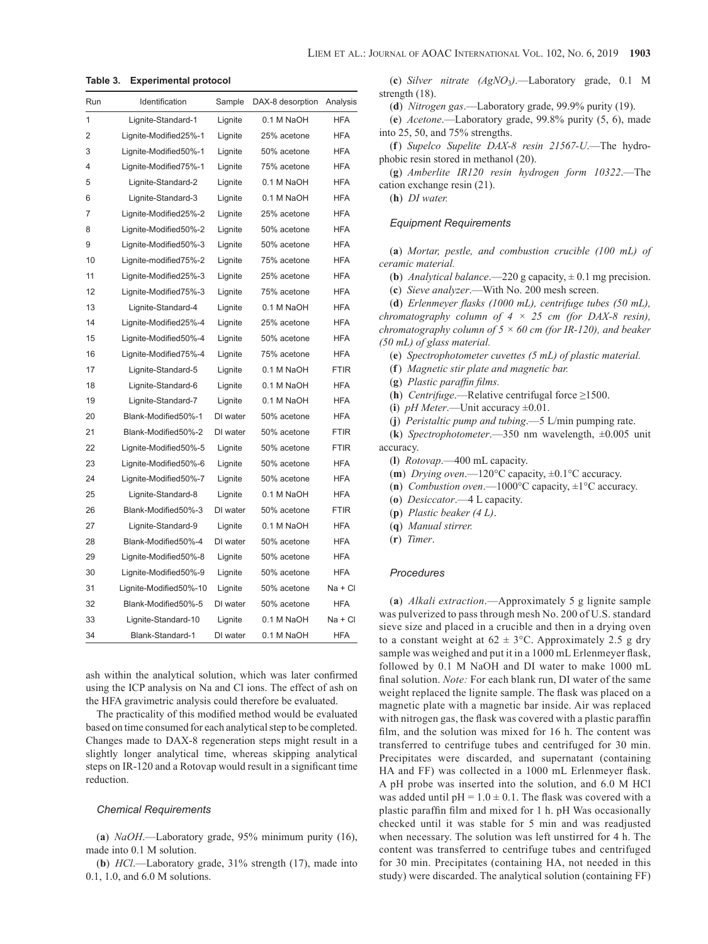| Run | Identification         | Sample   | DAX-8 desorption | Analysis    |
|-----|------------------------|----------|------------------|-------------|
| 1   | Lignite-Standard-1     | Lignite  | 0.1 M NaOH       | <b>HFA</b>  |
| 2   | Lignite-Modified25%-1  | Lignite  | 25% acetone      | <b>HFA</b>  |
| 3   | Lignite-Modified50%-1  | Lignite  | 50% acetone      | <b>HFA</b>  |
| 4   | Lignite-Modified75%-1  | Lignite  | 75% acetone      | <b>HFA</b>  |
| 5   | Lignite-Standard-2     | Lignite  | 0.1 M NaOH       | <b>HFA</b>  |
| 6   | Lignite-Standard-3     | Lignite  | 0.1 M NaOH       | <b>HFA</b>  |
| 7   | Lignite-Modified25%-2  | Lignite  | 25% acetone      | <b>HFA</b>  |
| 8   | Lignite-Modified50%-2  | Lignite  | 50% acetone      | <b>HFA</b>  |
| 9   | Lignite-Modified50%-3  | Lignite  | 50% acetone      | <b>HFA</b>  |
| 10  | Lignite-modified75%-2  | Lignite  | 75% acetone      | <b>HFA</b>  |
| 11  | Lignite-Modified25%-3  | Lignite  | 25% acetone      | <b>HFA</b>  |
| 12  | Lignite-Modified75%-3  | Lignite  | 75% acetone      | <b>HFA</b>  |
| 13  | Lignite-Standard-4     | Lignite  | 0.1 M NaOH       | <b>HFA</b>  |
| 14  | Lignite-Modified25%-4  | Lignite  | 25% acetone      | <b>HFA</b>  |
| 15  | Lignite-Modified50%-4  | Lignite  | 50% acetone      | <b>HFA</b>  |
| 16  | Lignite-Modified75%-4  | Lignite  | 75% acetone      | <b>HFA</b>  |
| 17  | Lignite-Standard-5     | Lignite  | 0.1 M NaOH       | <b>FTIR</b> |
| 18  | Lignite-Standard-6     | Lignite  | 0.1 M NaOH       | <b>HFA</b>  |
| 19  | Lignite-Standard-7     | Lignite  | 0.1 M NaOH       | <b>HFA</b>  |
| 20  | Blank-Modified50%-1    | DI water | 50% acetone      | <b>HFA</b>  |
| 21  | Blank-Modified50%-2    | DI water | 50% acetone      | <b>FTIR</b> |
| 22  | Lignite-Modified50%-5  | Lignite  | 50% acetone      | <b>FTIR</b> |
| 23  | Lignite-Modified50%-6  | Lignite  | 50% acetone      | <b>HFA</b>  |
| 24  | Lignite-Modified50%-7  | Lignite  | 50% acetone      | <b>HFA</b>  |
| 25  | Lignite-Standard-8     | Lignite  | 0.1 M NaOH       | <b>HFA</b>  |
| 26  | Blank-Modified50%-3    | DI water | 50% acetone      | <b>FTIR</b> |
| 27  | Lignite-Standard-9     | Lignite  | 0.1 M NaOH       | <b>HFA</b>  |
| 28  | Blank-Modified50%-4    | DI water | 50% acetone      | <b>HFA</b>  |
| 29  | Lignite-Modified50%-8  | Lignite  | 50% acetone      | <b>HFA</b>  |
| 30  | Lignite-Modified50%-9  | Lignite  | 50% acetone      | <b>HFA</b>  |
| 31  | Lignite-Modified50%-10 | Lignite  | 50% acetone      | Na + Cl     |
| 32  | Blank-Modified50%-5    | DI water | 50% acetone      | <b>HFA</b>  |
| 33  | Lignite-Standard-10    | Lignite  | 0.1 M NaOH       | Na + Cl     |
| 34  | Blank-Standard-1       | DI water | 0.1 M NaOH       | <b>HFA</b>  |

**Table 3. Experimental protocol**

ash within the analytical solution, which was later confirmed using the ICP analysis on Na and Cl ions. The effect of ash on the HFA gravimetric analysis could therefore be evaluated.

The practicality of this modified method would be evaluated based on time consumed for each analytical step to be completed. Changes made to DAX-8 regeneration steps might result in a slightly longer analytical time, whereas skipping analytical steps on IR-120 and a Rotovap would result in a significant time reduction.

#### *Chemical Requirements*

(**a**) *NaOH*.—Laboratory grade, 95% minimum purity (16), made into 0.1 M solution.

(**b**) *HCl*.—Laboratory grade, 31% strength (17), made into 0.1, 1.0, and 6.0 M solutions.

(**c**) *Silver nitrate (AgNO*3*)*.—Laboratory grade, 0.1 M strength (18).

(**d**) *Nitrogen gas*.—Laboratory grade, 99.9% purity (19).

(**e**) *Acetone*.—Laboratory grade, 99.8% purity (5, 6), made into 25, 50, and 75% strengths.

(**f**) *Supelco Supelite DAX-8 resin 21567-U*.—The hydrophobic resin stored in methanol (20).

(**g**) *Amberlite IR120 resin hydrogen form 10322*.—The cation exchange resin (21).

(**h**) *DI water.*

## *Equipment Requirements*

(**a**) *Mortar, pestle, and combustion crucible (100 mL) of ceramic material.*

(**b**) *Analytical balance*.—220 g capacity,  $\pm$  0.1 mg precision.

(**c**) *Sieve analyzer*.—With No. 200 mesh screen.

(**d**) *Erlenmeyer flasks (1000 mL), centrifuge tubes (50 mL), chromatography column of 4 × 25 cm (for DAX-8 resin), chromatography column of 5 × 60 cm (for IR-120), and beaker (50 mL) of glass material.*

(**e**) *Spectrophotometer cuvettes (5 mL) of plastic material.*

(**f**) *Magnetic stir plate and magnetic bar.*

(**g**) *Plastic paraffin films.*

(**h**) *Centrifuge*.—Relative centrifugal force ≥1500.

(**i**) *pH Meter*.—Unit accuracy ±0.01.

(**j**) *Peristaltic pump and tubing*.—5 L/min pumping rate.

(**k**) *Spectrophotometer*.—350 nm wavelength, ±0.005 unit accuracy.

(**l**) *Rotovap*.—400 mL capacity.

(**m**) *Drying oven*.—120°C capacity, ±0.1°C accuracy.

(**n**) *Combustion oven*.—1000°C capacity, ±1°C accuracy.

(**o**) *Desiccator*.—4 L capacity.

(**p**) *Plastic beaker (4 L)*.

(**q**) *Manual stirrer.*

(**r**) *Timer*.

#### *Procedures*

(**a**) *Alkali extraction*.—Approximately 5 g lignite sample was pulverized to pass through mesh No. 200 of U.S. standard sieve size and placed in a crucible and then in a drying oven to a constant weight at  $62 \pm 3$ °C. Approximately 2.5 g dry sample was weighed and put it in a 1000 mL Erlenmeyer flask, followed by 0.1 M NaOH and DI water to make 1000 mL final solution. *Note:* For each blank run, DI water of the same weight replaced the lignite sample. The flask was placed on a magnetic plate with a magnetic bar inside. Air was replaced with nitrogen gas, the flask was covered with a plastic paraffin film, and the solution was mixed for 16 h. The content was transferred to centrifuge tubes and centrifuged for 30 min. Precipitates were discarded, and supernatant (containing HA and FF) was collected in a 1000 mL Erlenmeyer flask. A pH probe was inserted into the solution, and 6.0 M HCl was added until  $pH = 1.0 \pm 0.1$ . The flask was covered with a plastic paraffin film and mixed for 1 h. pH Was occasionally checked until it was stable for 5 min and was readjusted when necessary. The solution was left unstirred for 4 h. The content was transferred to centrifuge tubes and centrifuged for 30 min. Precipitates (containing HA, not needed in this study) were discarded. The analytical solution (containing FF)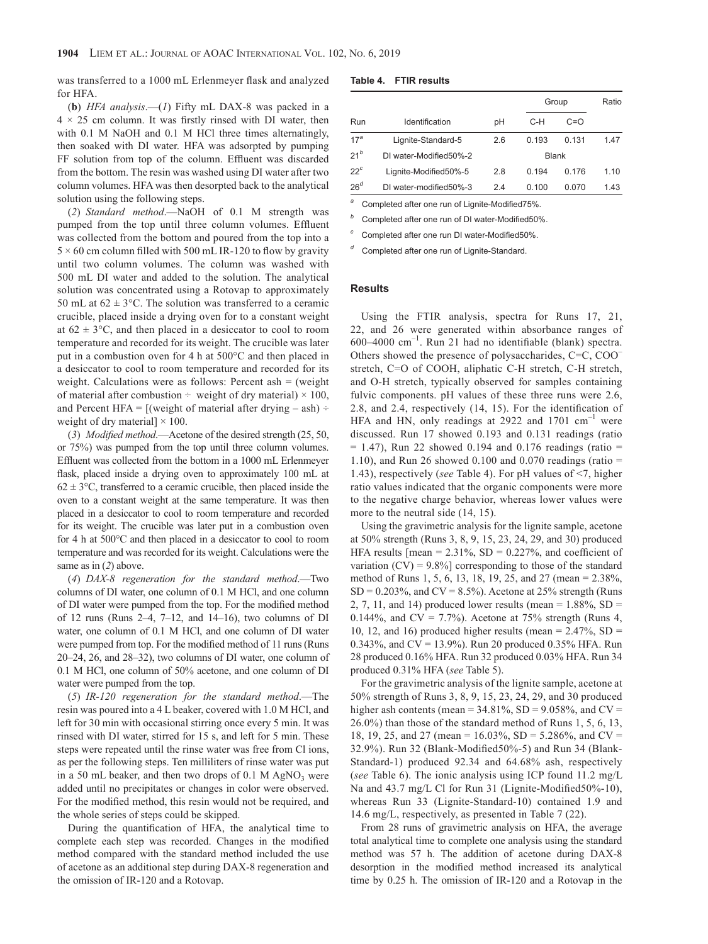was transferred to a 1000 mL Erlenmeyer flask and analyzed for HFA.

(**b**) *HFA analysis*.—(*1*) Fifty mL DAX-8 was packed in a  $4 \times 25$  cm column. It was firstly rinsed with DI water, then with 0.1 M NaOH and 0.1 M HCl three times alternatingly, then soaked with DI water. HFA was adsorpted by pumping FF solution from top of the column. Effluent was discarded from the bottom. The resin was washed using DI water after two column volumes. HFA was then desorpted back to the analytical solution using the following steps.

(*2*) *Standard method*.—NaOH of 0.1 M strength was pumped from the top until three column volumes. Effluent was collected from the bottom and poured from the top into a  $5 \times 60$  cm column filled with 500 mL IR-120 to flow by gravity until two column volumes. The column was washed with 500 mL DI water and added to the solution. The analytical solution was concentrated using a Rotovap to approximately 50 mL at  $62 \pm 3$ °C. The solution was transferred to a ceramic crucible, placed inside a drying oven for to a constant weight at  $62 \pm 3$ °C, and then placed in a desiccator to cool to room temperature and recorded for its weight. The crucible was later put in a combustion oven for 4 h at 500°C and then placed in a desiccator to cool to room temperature and recorded for its weight. Calculations were as follows: Percent ash = (weight of material after combustion  $\div$  weight of dry material)  $\times$  100, and Percent HFA =  $[(weight of material after drying - ash) \div$ weight of dry material]  $\times$  100.

(*3*) *Modified method*.—Acetone of the desired strength (25, 50, or 75%) was pumped from the top until three column volumes. Effluent was collected from the bottom in a 1000 mL Erlenmeyer flask, placed inside a drying oven to approximately 100 mL at  $62 \pm 3$ °C, transferred to a ceramic crucible, then placed inside the oven to a constant weight at the same temperature. It was then placed in a desiccator to cool to room temperature and recorded for its weight. The crucible was later put in a combustion oven for 4 h at 500°C and then placed in a desiccator to cool to room temperature and was recorded for its weight. Calculations were the same as in (*2*) above.

(*4*) *DAX-8 regeneration for the standard method*.—Two columns of DI water, one column of 0.1 M HCl, and one column of DI water were pumped from the top. For the modified method of 12 runs (Runs  $2-4$ ,  $7-12$ , and  $14-16$ ), two columns of DI water, one column of 0.1 M HCl, and one column of DI water were pumped from top. For the modified method of 11 runs (Runs 20–24, 26, and 28–32), two columns of DI water, one column of 0.1 M HCl, one column of 50% acetone, and one column of DI water were pumped from the top.

(*5*) *IR-120 regeneration for the standard method*.—The resin was poured into a 4 L beaker, covered with 1.0 M HCl, and left for 30 min with occasional stirring once every 5 min. It was rinsed with DI water, stirred for 15 s, and left for 5 min. These steps were repeated until the rinse water was free from Cl ions, as per the following steps. Ten milliliters of rinse water was put in a 50 mL beaker, and then two drops of  $0.1$  M AgNO<sub>3</sub> were added until no precipitates or changes in color were observed. For the modified method, this resin would not be required, and the whole series of steps could be skipped.

During the quantification of HFA, the analytical time to complete each step was recorded. Changes in the modified method compared with the standard method included the use of acetone as an additional step during DAX-8 regeneration and the omission of IR-120 and a Rotovap.

| Table 4.<br><b>FTIR results</b> |
|---------------------------------|
|---------------------------------|

|                 |                         |     |              | Group | Ratio |
|-----------------|-------------------------|-----|--------------|-------|-------|
| Run             | Identification          | рH  | C-H          | $C=O$ |       |
| 17 <sup>a</sup> | Lignite-Standard-5      | 2.6 | 0.193        | 0.131 | 1.47  |
| $21^b$          | DI water-Modified50%-2  |     | <b>Blank</b> |       |       |
| $22^c$          | Lignite-Modified50%-5   | 2.8 | 0.194        | 0.176 | 1.10  |
| 26 <sup>d</sup> | DI water-modified 50%-3 | 2.4 | 0.100        | 0.070 | 1.43  |

Completed after one run of Lignite-Modified75%.

Completed after one run of DI water-Modified50%.

*<sup>c</sup>* Completed after one run DI water-Modified50%.

Completed after one run of Lignite-Standard.

#### **Results**

Using the FTIR analysis, spectra for Runs 17, 21, 22, and 26 were generated within absorbance ranges of  $600-4000$  cm<sup>-1</sup>. Run 21 had no identifiable (blank) spectra. Others showed the presence of polysaccharides, C=C, COO– stretch, C=O of COOH, aliphatic C-H stretch, C-H stretch, and O-H stretch, typically observed for samples containing fulvic components. pH values of these three runs were 2.6, 2.8, and 2.4, respectively (14, 15). For the identification of HFA and HN, only readings at 2922 and 1701  $\text{cm}^{-1}$  were discussed. Run 17 showed 0.193 and 0.131 readings (ratio  $= 1.47$ ), Run 22 showed 0.194 and 0.176 readings (ratio  $=$ 1.10), and Run 26 showed 0.100 and 0.070 readings (ratio  $=$ 1.43), respectively (*see* Table 4). For pH values of <7, higher ratio values indicated that the organic components were more to the negative charge behavior, whereas lower values were more to the neutral side (14, 15).

Using the gravimetric analysis for the lignite sample, acetone at 50% strength (Runs 3, 8, 9, 15, 23, 24, 29, and 30) produced HFA results  $[mean = 2.31\%, SD = 0.227\%, and coefficient of$ variation  $(CV) = 9.8\%$  corresponding to those of the standard method of Runs 1, 5, 6, 13, 18, 19, 25, and 27 (mean = 2.38%,  $SD = 0.203\%$ , and  $CV = 8.5\%$ ). Acetone at 25% strength (Runs 2, 7, 11, and 14) produced lower results (mean =  $1.88\%$ , SD = 0.144%, and CV = 7.7%). Acetone at 75% strength (Runs 4, 10, 12, and 16) produced higher results (mean  $= 2.47\%$ , SD  $=$ 0.343%, and CV = 13.9%). Run 20 produced 0.35% HFA. Run 28 produced 0.16% HFA. Run 32 produced 0.03% HFA. Run 34 produced 0.31% HFA (*see* Table 5).

For the gravimetric analysis of the lignite sample, acetone at 50% strength of Runs 3, 8, 9, 15, 23, 24, 29, and 30 produced higher ash contents (mean =  $34.81\%$ , SD =  $9.058\%$ , and CV = 26.0%) than those of the standard method of Runs 1, 5, 6, 13, 18, 19, 25, and 27 (mean =  $16.03\%$ , SD =  $5.286\%$ , and CV = 32.9%). Run 32 (Blank-Modified50%-5) and Run 34 (Blank-Standard-1) produced 92.34 and 64.68% ash, respectively (*see* Table 6). The ionic analysis using ICP found 11.2 mg/L Na and 43.7 mg/L Cl for Run 31 (Lignite-Modified50%-10), whereas Run 33 (Lignite-Standard-10) contained 1.9 and 14.6 mg/L, respectively, as presented in Table 7 (22).

From 28 runs of gravimetric analysis on HFA, the average total analytical time to complete one analysis using the standard method was 57 h. The addition of acetone during DAX-8 desorption in the modified method increased its analytical time by 0.25 h. The omission of IR-120 and a Rotovap in the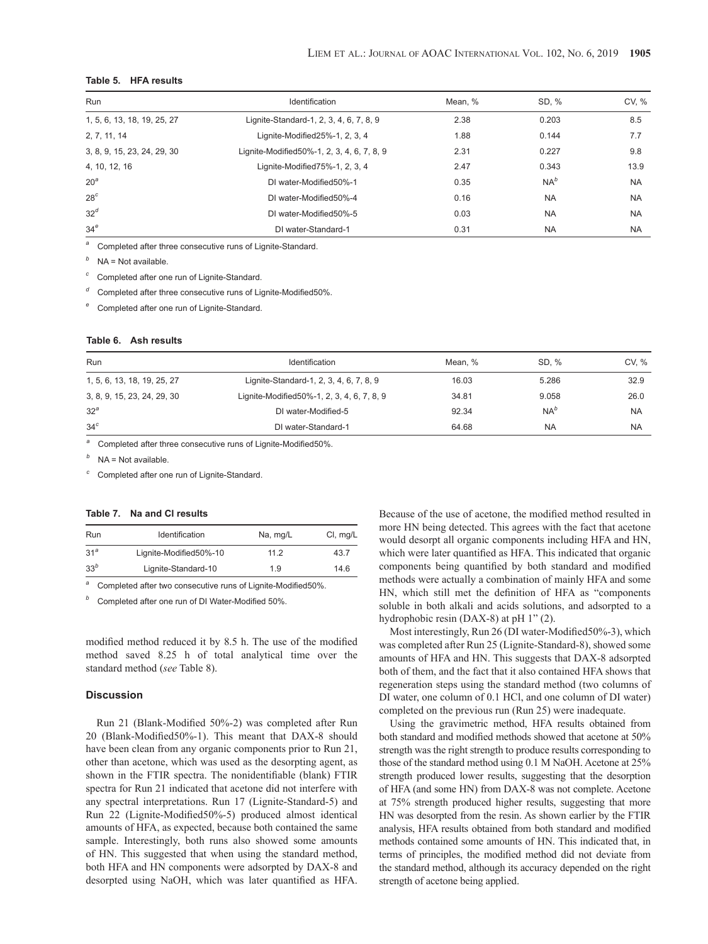# **Table 5. HFA results**

| <b>Run</b>                  | Identification                             | Mean, % | SD, %     | CV, %     |  |
|-----------------------------|--------------------------------------------|---------|-----------|-----------|--|
| 1, 5, 6, 13, 18, 19, 25, 27 | Lignite-Standard-1, 2, 3, 4, 6, 7, 8, 9    | 2.38    | 0.203     | 8.5       |  |
| 2, 7, 11, 14                | Lignite-Modified25%-1, 2, 3, 4             | 1.88    | 0.144     | 7.7       |  |
| 3, 8, 9, 15, 23, 24, 29, 30 | Lignite-Modified50%-1, 2, 3, 4, 6, 7, 8, 9 | 2.31    | 0.227     | 9.8       |  |
| 4, 10, 12, 16               | Lignite-Modified75%-1, 2, 3, 4             | 2.47    | 0.343     | 13.9      |  |
| 20 <sup>a</sup>             | DI water-Modified50%-1                     | 0.35    | $NA^b$    | <b>NA</b> |  |
| 28 <sup>c</sup>             | DI water-Modified50%-4                     | 0.16    | <b>NA</b> | <b>NA</b> |  |
| 32 <sup>d</sup>             | DI water-Modified50%-5                     | 0.03    | <b>NA</b> | <b>NA</b> |  |
| 34 <sup>e</sup>             | DI water-Standard-1                        | 0.31    | <b>NA</b> | <b>NA</b> |  |

*<sup>a</sup>* Completed after three consecutive runs of Lignite-Standard.

*<sup>b</sup>* NA = Not available.

*<sup>c</sup>* Completed after one run of Lignite-Standard.

Completed after three consecutive runs of Lignite-Modified50%.

Completed after one run of Lignite-Standard.

# **Table 6. Ash results**

| Run                         | Identification                             | Mean, % | SD. %     | CV, %     |
|-----------------------------|--------------------------------------------|---------|-----------|-----------|
| 1, 5, 6, 13, 18, 19, 25, 27 | Lignite-Standard-1, 2, 3, 4, 6, 7, 8, 9    | 16.03   | 5.286     | 32.9      |
| 3, 8, 9, 15, 23, 24, 29, 30 | Lignite-Modified50%-1, 2, 3, 4, 6, 7, 8, 9 | 34.81   | 9.058     | 26.0      |
| 32 <sup>a</sup>             | DI water-Modified-5                        | 92.34   | $NA^b$    | <b>NA</b> |
| 34 <sup>c</sup>             | DI water-Standard-1                        | 64.68   | <b>NA</b> | <b>NA</b> |

*<sup>a</sup>* Completed after three consecutive runs of Lignite-Modified50%.

*<sup>b</sup>* NA = Not available.

*<sup>c</sup>* Completed after one run of Lignite-Standard.

# **Table 7. Na and Cl results**

| Run             | Identification         | Na, mg/L | CI, mg/L |
|-----------------|------------------------|----------|----------|
| 31 <sup>a</sup> | Lignite-Modified50%-10 | 112      | 43.7     |
| 33 <sup>b</sup> | Lignite-Standard-10    | 1.9      | 14.6     |

*<sup>a</sup>* Completed after two consecutive runs of Lignite-Modified50%.

Completed after one run of DI Water-Modified 50%.

modified method reduced it by 8.5 h. The use of the modified method saved 8.25 h of total analytical time over the standard method (*see* Table 8).

## **Discussion**

Run 21 (Blank-Modified 50%-2) was completed after Run 20 (Blank-Modified50%-1). This meant that DAX-8 should have been clean from any organic components prior to Run 21, other than acetone, which was used as the desorpting agent, as shown in the FTIR spectra. The nonidentifiable (blank) FTIR spectra for Run 21 indicated that acetone did not interfere with any spectral interpretations. Run 17 (Lignite-Standard-5) and Run 22 (Lignite-Modified50%-5) produced almost identical amounts of HFA, as expected, because both contained the same sample. Interestingly, both runs also showed some amounts of HN. This suggested that when using the standard method, both HFA and HN components were adsorpted by DAX-8 and desorpted using NaOH, which was later quantified as HFA.

Because of the use of acetone, the modified method resulted in more HN being detected. This agrees with the fact that acetone would desorpt all organic components including HFA and HN, which were later quantified as HFA. This indicated that organic components being quantified by both standard and modified methods were actually a combination of mainly HFA and some HN, which still met the definition of HFA as "components soluble in both alkali and acids solutions, and adsorpted to a hydrophobic resin (DAX-8) at pH 1" (2).

Most interestingly, Run 26 (DI water-Modified50%-3), which was completed after Run 25 (Lignite-Standard-8), showed some amounts of HFA and HN. This suggests that DAX-8 adsorpted both of them, and the fact that it also contained HFA shows that regeneration steps using the standard method (two columns of DI water, one column of 0.1 HCl, and one column of DI water) completed on the previous run (Run 25) were inadequate.

Using the gravimetric method, HFA results obtained from both standard and modified methods showed that acetone at 50% strength was the right strength to produce results corresponding to those of the standard method using 0.1 M NaOH. Acetone at 25% strength produced lower results, suggesting that the desorption of HFA (and some HN) from DAX-8 was not complete. Acetone at 75% strength produced higher results, suggesting that more HN was desorpted from the resin. As shown earlier by the FTIR analysis, HFA results obtained from both standard and modified methods contained some amounts of HN. This indicated that, in terms of principles, the modified method did not deviate from the standard method, although its accuracy depended on the right strength of acetone being applied.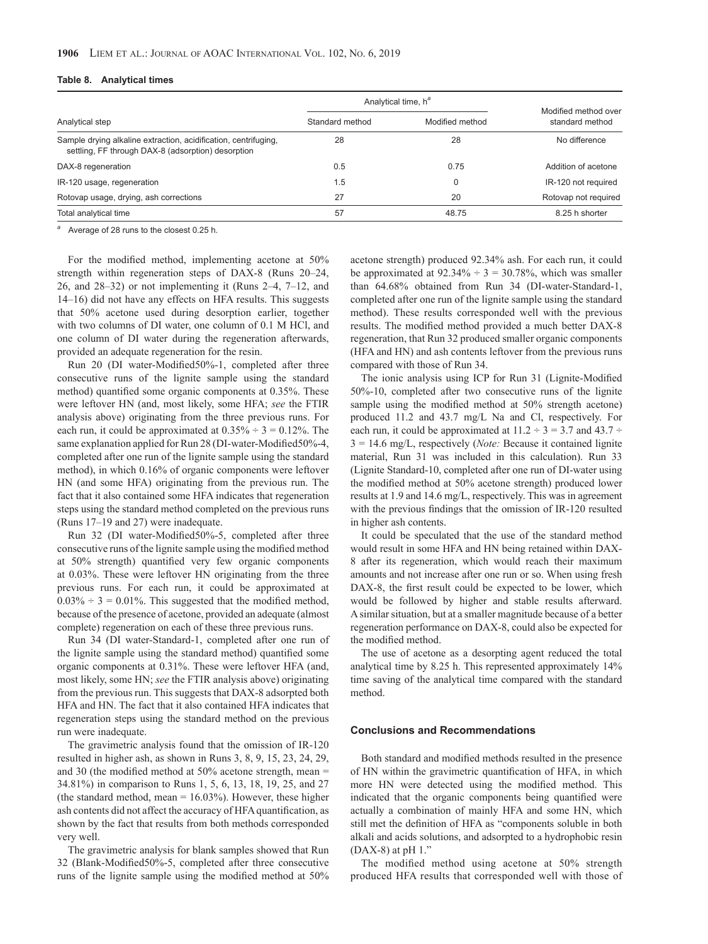| Table 8. |  |  |  |  |  |  | <b>Analytical times</b> |
|----------|--|--|--|--|--|--|-------------------------|
|----------|--|--|--|--|--|--|-------------------------|

|                                                                                                                       | Analytical time, h <sup>a</sup> |                 |                                         |  |
|-----------------------------------------------------------------------------------------------------------------------|---------------------------------|-----------------|-----------------------------------------|--|
| Analytical step                                                                                                       | Standard method                 | Modified method | Modified method over<br>standard method |  |
| Sample drying alkaline extraction, acidification, centrifuging,<br>settling, FF through DAX-8 (adsorption) desorption | 28                              | 28              | No difference                           |  |
| DAX-8 regeneration                                                                                                    | 0.5                             | 0.75            | Addition of acetone                     |  |
| IR-120 usage, regeneration                                                                                            | 1.5                             | 0               | IR-120 not required                     |  |
| Rotovap usage, drying, ash corrections                                                                                | 27                              | 20              | Rotovap not required                    |  |
| Total analytical time                                                                                                 | 57                              | 48.75           | 8.25 h shorter                          |  |

*<sup>a</sup>* Average of 28 runs to the closest 0.25 h.

For the modified method, implementing acetone at 50% strength within regeneration steps of DAX-8 (Runs 20–24, 26, and 28–32) or not implementing it (Runs 2–4, 7–12, and 14–16) did not have any effects on HFA results. This suggests that 50% acetone used during desorption earlier, together with two columns of DI water, one column of 0.1 M HCl, and one column of DI water during the regeneration afterwards, provided an adequate regeneration for the resin.

Run 20 (DI water-Modified50%-1, completed after three consecutive runs of the lignite sample using the standard method) quantified some organic components at 0.35%. These were leftover HN (and, most likely, some HFA; *see* the FTIR analysis above) originating from the three previous runs. For each run, it could be approximated at  $0.35\% \div 3 = 0.12\%$ . The same explanation applied for Run 28 (DI-water-Modified50%-4, completed after one run of the lignite sample using the standard method), in which 0.16% of organic components were leftover HN (and some HFA) originating from the previous run. The fact that it also contained some HFA indicates that regeneration steps using the standard method completed on the previous runs (Runs 17–19 and 27) were inadequate.

Run 32 (DI water-Modified50%-5, completed after three consecutive runs of the lignite sample using the modified method at 50% strength) quantified very few organic components at 0.03%. These were leftover HN originating from the three previous runs. For each run, it could be approximated at  $0.03\% \div 3 = 0.01\%$ . This suggested that the modified method, because of the presence of acetone, provided an adequate (almost complete) regeneration on each of these three previous runs.

Run 34 (DI water-Standard-1, completed after one run of the lignite sample using the standard method) quantified some organic components at 0.31%. These were leftover HFA (and, most likely, some HN; *see* the FTIR analysis above) originating from the previous run. This suggests that DAX-8 adsorpted both HFA and HN. The fact that it also contained HFA indicates that regeneration steps using the standard method on the previous run were inadequate.

The gravimetric analysis found that the omission of IR-120 resulted in higher ash, as shown in Runs 3, 8, 9, 15, 23, 24, 29, and 30 (the modified method at 50% acetone strength, mean = 34.81%) in comparison to Runs 1, 5, 6, 13, 18, 19, 25, and 27 (the standard method, mean  $= 16.03\%$ ). However, these higher ash contents did not affect the accuracy of HFA quantification, as shown by the fact that results from both methods corresponded very well.

The gravimetric analysis for blank samples showed that Run 32 (Blank-Modified50%-5, completed after three consecutive runs of the lignite sample using the modified method at 50% acetone strength) produced 92.34% ash. For each run, it could be approximated at  $92.34\% \div 3 = 30.78\%$ , which was smaller than 64.68% obtained from Run 34 (DI-water-Standard-1, completed after one run of the lignite sample using the standard method). These results corresponded well with the previous results. The modified method provided a much better DAX-8 regeneration, that Run 32 produced smaller organic components (HFA and HN) and ash contents leftover from the previous runs compared with those of Run 34.

The ionic analysis using ICP for Run 31 (Lignite-Modified 50%-10, completed after two consecutive runs of the lignite sample using the modified method at 50% strength acetone) produced 11.2 and 43.7 mg/L Na and Cl, respectively. For each run, it could be approximated at  $11.2 \div 3 = 3.7$  and  $43.7 \div$ 3 = 14.6 mg/L, respectively (*Note:* Because it contained lignite material, Run 31 was included in this calculation). Run 33 (Lignite Standard-10, completed after one run of DI-water using the modified method at 50% acetone strength) produced lower results at 1.9 and 14.6 mg/L, respectively. This was in agreement with the previous findings that the omission of IR-120 resulted in higher ash contents.

It could be speculated that the use of the standard method would result in some HFA and HN being retained within DAX-8 after its regeneration, which would reach their maximum amounts and not increase after one run or so. When using fresh DAX-8, the first result could be expected to be lower, which would be followed by higher and stable results afterward. A similar situation, but at a smaller magnitude because of a better regeneration performance on DAX-8, could also be expected for the modified method.

The use of acetone as a desorpting agent reduced the total analytical time by 8.25 h. This represented approximately 14% time saving of the analytical time compared with the standard method.

#### **Conclusions and Recommendations**

Both standard and modified methods resulted in the presence of HN within the gravimetric quantification of HFA, in which more HN were detected using the modified method. This indicated that the organic components being quantified were actually a combination of mainly HFA and some HN, which still met the definition of HFA as "components soluble in both alkali and acids solutions, and adsorpted to a hydrophobic resin  $(DAX-8)$  at pH  $1$ ."

The modified method using acetone at 50% strength produced HFA results that corresponded well with those of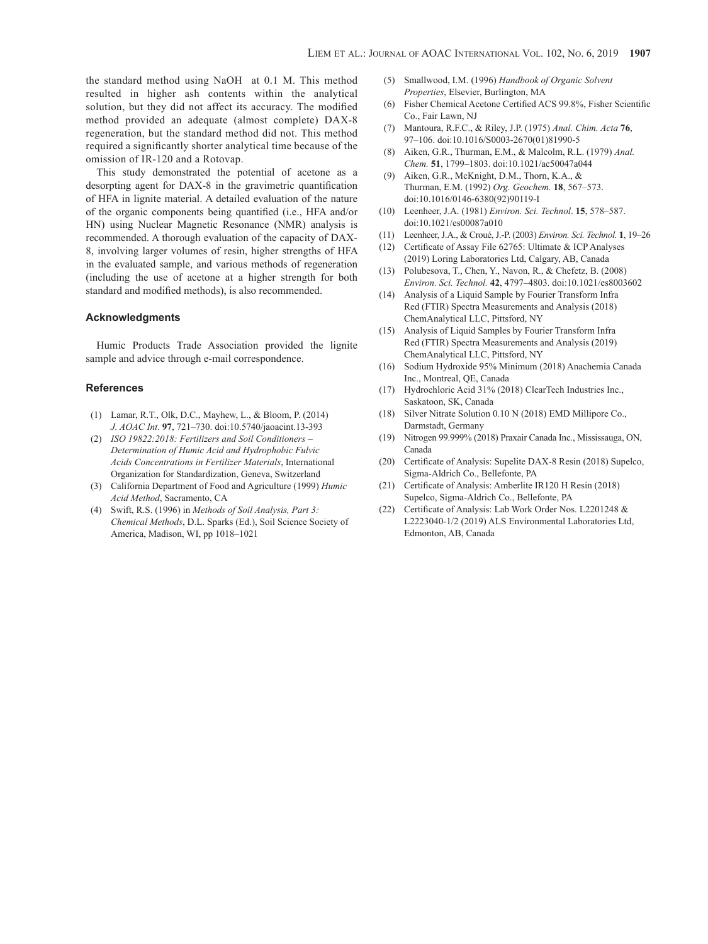the standard method using NaOH at 0.1 M. This method resulted in higher ash contents within the analytical solution, but they did not affect its accuracy. The modified method provided an adequate (almost complete) DAX-8 regeneration, but the standard method did not. This method required a significantly shorter analytical time because of the omission of IR-120 and a Rotovap.

This study demonstrated the potential of acetone as a desorpting agent for DAX-8 in the gravimetric quantification of HFA in lignite material. A detailed evaluation of the nature of the organic components being quantified (i.e., HFA and/or HN) using Nuclear Magnetic Resonance (NMR) analysis is recommended. A thorough evaluation of the capacity of DAX-8, involving larger volumes of resin, higher strengths of HFA in the evaluated sample, and various methods of regeneration (including the use of acetone at a higher strength for both standard and modified methods), is also recommended.

# **Acknowledgments**

Humic Products Trade Association provided the lignite sample and advice through e-mail correspondence.

#### **References**

- (1) Lamar, R.T., Olk, D.C., Mayhew, L., & Bloom, P. (2014) *J. AOAC Int*. **97**, 721–730. doi:[10.5740/jaoacint.13-393](https://doi.org/10.5740/jaoacint.13-393)
- (2) *ISO 19822:2018: Fertilizers and Soil Conditioners – Determination of Humic Acid and Hydrophobic Fulvic Acids Concentrations in Fertilizer Materials*, International Organization for Standardization, Geneva, Switzerland
- (3) California Department of Food and Agriculture (1999) *Humic Acid Method*, Sacramento, CA
- (4) Swift, R.S. (1996) in *Methods of Soil Analysis, Part 3: Chemical Methods*, D.L. Sparks (Ed.), Soil Science Society of America, Madison, WI, pp 1018–1021
- (5) Smallwood, I.M. (1996) *Handbook of Organic Solvent Properties*, Elsevier, Burlington, MA
- (6) Fisher Chemical Acetone Certified ACS 99.8%, Fisher Scientific Co., Fair Lawn, NJ
- (7) Mantoura, R.F.C., & Riley, J.P. (1975) *Anal. Chim. Acta* **76**, 97–106. doi[:10.1016/S0003-2670\(01\)81990-5](https://doi.org/10.1016/S0003-2670(01)81990-5)
- (8) Aiken, G.R., Thurman, E.M., & Malcolm, R.L. (1979) *Anal. Chem.* **51**, 1799–1803. doi[:10.1021/ac50047a044](https://doi.org/10.1021/ac50047a044)
- (9) Aiken, G.R., McKnight, D.M., Thorn, K.A., & Thurman, E.M. (1992) *Org. Geochem.* **18**, 567–573. doi[:10.1016/0146-6380\(92\)90119-I](https://doi.org/10.1016/0146-6380(92)90119-I)
- (10) Leenheer, J.A. (1981) *Environ. Sci. Technol*. **15**, 578–587. doi[:10.1021/es00087a010](https://doi.org/10.1021/es00087a010)
- (11) Leenheer, J.A., & Croué, J.-P. (2003) *Environ. Sci. Technol.* **1**, 19–26
- (12) Certificate of Assay File 62765: Ultimate & ICP Analyses (2019) Loring Laboratories Ltd, Calgary, AB, Canada
- (13) Polubesova, T., Chen, Y., Navon, R., & Chefetz, B. (2008) *Environ. Sci. Technol.* **42**, 4797–4803. doi:[10.1021/es8003602](https://doi.org/10.1021/es8003602)
- (14) Analysis of a Liquid Sample by Fourier Transform Infra Red (FTIR) Spectra Measurements and Analysis (2018) ChemAnalytical LLC, Pittsford, NY
- (15) Analysis of Liquid Samples by Fourier Transform Infra Red (FTIR) Spectra Measurements and Analysis (2019) ChemAnalytical LLC, Pittsford, NY
- (16) Sodium Hydroxide 95% Minimum (2018) Anachemia Canada Inc., Montreal, QE, Canada
- (17) Hydrochloric Acid 31% (2018) ClearTech Industries Inc., Saskatoon, SK, Canada
- (18) Silver Nitrate Solution 0.10 N (2018) EMD Millipore Co., Darmstadt, Germany
- (19) Nitrogen 99.999% (2018) Praxair Canada Inc., Mississauga, ON, Canada
- (20) Certificate of Analysis: Supelite DAX-8 Resin (2018) Supelco, Sigma-Aldrich Co., Bellefonte, PA
- (21) Certificate of Analysis: Amberlite IR120 H Resin (2018) Supelco, Sigma-Aldrich Co., Bellefonte, PA
- (22) Certificate of Analysis: Lab Work Order Nos. L2201248 & L2223040-1/2 (2019) ALS Environmental Laboratories Ltd, Edmonton, AB, Canada